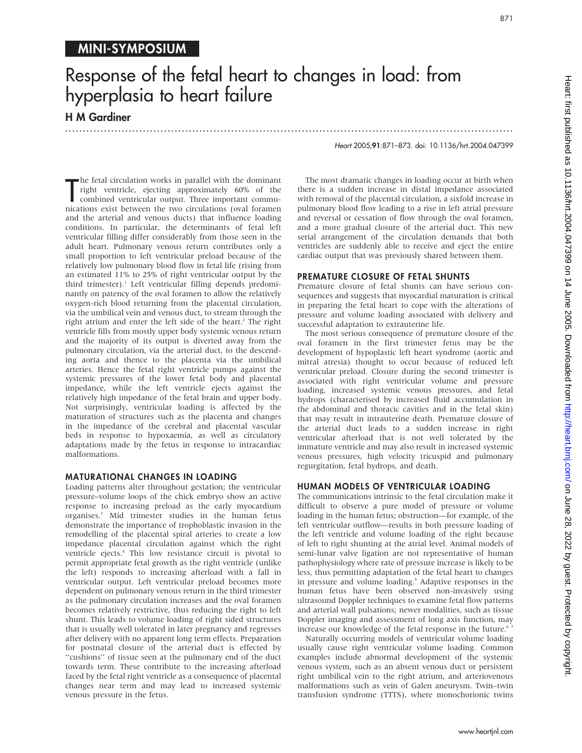# Response of the fetal heart to changes in load: from hyperplasia to heart failure

...............................................................................................................................

## H M Gardiner

Heart 2005;91:871–873. doi: 10.1136/hrt.2004.047399

The fetal circulation works in parallel with the dominant<br>
right ventricle, ejecting approximately 60% of the<br>
combined ventricular output. Three important commu-<br>
nications exist between the two circulations (oval foramen he fetal circulation works in parallel with the dominant right ventricle, ejecting approximately 60% of the combined ventricular output. Three important commuand the arterial and venous ducts) that influence loading conditions. In particular, the determinants of fetal left ventricular filling differ considerably from those seen in the adult heart. Pulmonary venous return contributes only a small proportion to left ventricular preload because of the relatively low pulmonary blood flow in fetal life (rising from an estimated 11% to 25% of right ventricular output by the third trimester).<sup>1</sup> Left ventricular filling depends predominantly on patency of the oval foramen to allow the relatively oxygen-rich blood returning from the placental circulation, via the umbilical vein and venous duct, to stream through the right atrium and enter the left side of the heart.<sup>2</sup> The right ventricle fills from mostly upper body systemic venous return and the majority of its output is diverted away from the pulmonary circulation, via the arterial duct, to the descending aorta and thence to the placenta via the umbilical arteries. Hence the fetal right ventricle pumps against the systemic pressures of the lower fetal body and placental impedance, while the left ventricle ejects against the relatively high impedance of the fetal brain and upper body. Not surprisingly, ventricular loading is affected by the maturation of structures such as the placenta and changes in the impedance of the cerebral and placental vascular beds in response to hypoxaemia, as well as circulatory adaptations made by the fetus in response to intracardiac malformations.

#### MATURATIONAL CHANGES IN LOADING

Loading patterns alter throughout gestation; the ventricular pressure–volume loops of the chick embryo show an active response to increasing preload as the early myocardium organises.3 Mid trimester studies in the human fetus demonstrate the importance of trophoblastic invasion in the remodelling of the placental spiral arteries to create a low impedance placental circulation against which the right ventricle ejects.<sup>4</sup> This low resistance circuit is pivotal to permit appropriate fetal growth as the right ventricle (unlike the left) responds to increasing afterload with a fall in ventricular output. Left ventricular preload becomes more dependent on pulmonary venous return in the third trimester as the pulmonary circulation increases and the oval foramen becomes relatively restrictive, thus reducing the right to left shunt. This leads to volume loading of right sided structures that is usually well tolerated in later pregnancy and regresses after delivery with no apparent long term effects. Preparation for postnatal closure of the arterial duct is effected by "cushions" of tissue seen at the pulmonary end of the duct towards term. These contribute to the increasing afterload faced by the fetal right ventricle as a consequence of placental changes near term and may lead to increased systemic venous pressure in the fetus.

The most dramatic changes in loading occur at birth when there is a sudden increase in distal impedance associated with removal of the placental circulation, a sixfold increase in pulmonary blood flow leading to a rise in left atrial pressure and reversal or cessation of flow through the oval foramen, and a more gradual closure of the arterial duct. This new serial arrangement of the circulation demands that both ventricles are suddenly able to receive and eject the entire cardiac output that was previously shared between them.

#### PREMATURE CLOSURE OF FETAL SHUNTS

Premature closure of fetal shunts can have serious consequences and suggests that myocardial maturation is critical in preparing the fetal heart to cope with the alterations of pressure and volume loading associated with delivery and successful adaptation to extrauterine life.

The most serious consequence of premature closure of the oval foramen in the first trimester fetus may be the development of hypoplastic left heart syndrome (aortic and mitral atresia) thought to occur because of reduced left ventricular preload. Closure during the second trimester is associated with right ventricular volume and pressure loading, increased systemic venous pressures, and fetal hydrops (characterised by increased fluid accumulation in the abdominal and thoracic cavities and in the fetal skin) that may result in intrauterine death. Premature closure of the arterial duct leads to a sudden increase in right ventricular afterload that is not well tolerated by the immature ventricle and may also result in increased systemic venous pressures, high velocity tricuspid and pulmonary regurgitation, fetal hydrops, and death.

#### HUMAN MODELS OF VENTRICULAR LOADING

The communications intrinsic to the fetal circulation make it difficult to observe a pure model of pressure or volume loading in the human fetus; obstruction—for example, of the left ventricular outflow—results in both pressure loading of the left ventricle and volume loading of the right because of left to right shunting at the atrial level. Animal models of semi-lunar valve ligation are not representative of human pathophysiology where rate of pressure increase is likely to be less, thus permitting adaptation of the fetal heart to changes in pressure and volume loading.<sup>5</sup> Adaptive responses in the human fetus have been observed non-invasively using ultrasound Doppler techniques to examine fetal flow patterns and arterial wall pulsations; newer modalities, such as tissue Doppler imaging and assessment of long axis function, may increase our knowledge of the fetal response in the future.<sup>6</sup>

Naturally occurring models of ventricular volume loading usually cause right ventricular volume loading. Common examples include abnormal development of the systemic venous system, such as an absent venous duct or persistent right umbilical vein to the right atrium, and arteriovenous malformations such as vein of Galen aneurysm. Twin–twin transfusion syndrome (TTTS), where monochorionic twins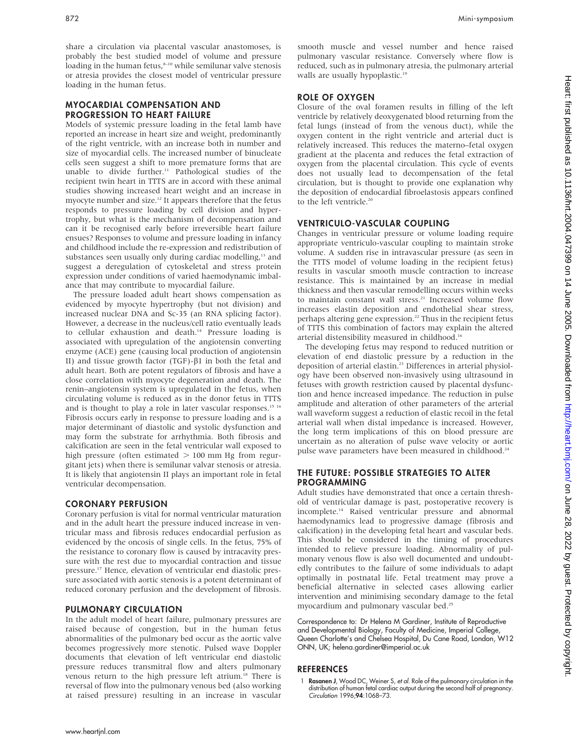share a circulation via placental vascular anastomoses, is probably the best studied model of volume and pressure loading in the human fetus,<sup>8-10</sup> while semilunar valve stenosis or atresia provides the closest model of ventricular pressure loading in the human fetus.

#### MYOCARDIAL COMPENSATION AND PROGRESSION TO HEART FAILURE

Models of systemic pressure loading in the fetal lamb have reported an increase in heart size and weight, predominantly of the right ventricle, with an increase both in number and size of myocardial cells. The increased number of binucleate cells seen suggest a shift to more premature forms that are unable to divide further.<sup>11</sup> Pathological studies of the recipient twin heart in TTTS are in accord with these animal studies showing increased heart weight and an increase in myocyte number and size.<sup>12</sup> It appears therefore that the fetus responds to pressure loading by cell division and hypertrophy, but what is the mechanism of decompensation and can it be recognised early before irreversible heart failure ensues? Responses to volume and pressure loading in infancy and childhood include the re-expression and redistribution of substances seen usually only during cardiac modelling,<sup>13</sup> and suggest a deregulation of cytoskeletal and stress protein expression under conditions of varied haemodynamic imbalance that may contribute to myocardial failure.

The pressure loaded adult heart shows compensation as evidenced by myocyte hypertrophy (but not division) and increased nuclear DNA and Sc-35 (an RNA splicing factor). However, a decrease in the nucleus/cell ratio eventually leads to cellular exhaustion and death.<sup>14</sup> Pressure loading is associated with upregulation of the angiotensin converting enzyme (ACE) gene (causing local production of angiotensin II) and tissue growth factor (TGF)- $\beta$ 1 in both the fetal and adult heart. Both are potent regulators of fibrosis and have a close correlation with myocyte degeneration and death. The renin–angiotensin system is upregulated in the fetus, when circulating volume is reduced as in the donor fetus in TTTS and is thought to play a role in later vascular responses.<sup>15 16</sup> Fibrosis occurs early in response to pressure loading and is a major determinant of diastolic and systolic dysfunction and may form the substrate for arrhythmia. Both fibrosis and calcification are seen in the fetal ventricular wall exposed to high pressure (often estimated  $> 100$  mm Hg from regur-

gitant jets) when there is semilunar valvar stenosis or atresia. It is likely that angiotensin II plays an important role in fetal ventricular decompensation.

#### CORONARY PERFUSION

Coronary perfusion is vital for normal ventricular maturation and in the adult heart the pressure induced increase in ventricular mass and fibrosis reduces endocardial perfusion as evidenced by the oncosis of single cells. In the fetus, 75% of the resistance to coronary flow is caused by intracavity pressure with the rest due to myocardial contraction and tissue pressure.17 Hence, elevation of ventricular end diastolic pressure associated with aortic stenosis is a potent determinant of reduced coronary perfusion and the development of fibrosis.

#### PULMONARY CIRCULATION

In the adult model of heart failure, pulmonary pressures are raised because of congestion, but in the human fetus abnormalities of the pulmonary bed occur as the aortic valve becomes progressively more stenotic. Pulsed wave Doppler documents that elevation of left ventricular end diastolic pressure reduces transmitral flow and alters pulmonary venous return to the high pressure left atrium.<sup>18</sup> There is reversal of flow into the pulmonary venous bed (also working at raised pressure) resulting in an increase in vascular

#### ROLE OF OXYGEN

Closure of the oval foramen results in filling of the left ventricle by relatively deoxygenated blood returning from the fetal lungs (instead of from the venous duct), while the oxygen content in the right ventricle and arterial duct is relatively increased. This reduces the materno–fetal oxygen gradient at the placenta and reduces the fetal extraction of oxygen from the placental circulation. This cycle of events does not usually lead to decompensation of the fetal circulation, but is thought to provide one explanation why the deposition of endocardial fibroelastosis appears confined to the left ventricle.<sup>20</sup>

#### VENTRICULO-VASCULAR COUPLING

Changes in ventricular pressure or volume loading require appropriate ventriculo-vascular coupling to maintain stroke volume. A sudden rise in intravascular pressure (as seen in the TTTS model of volume loading in the recipient fetus) results in vascular smooth muscle contraction to increase resistance. This is maintained by an increase in medial thickness and then vascular remodelling occurs within weeks to maintain constant wall stress.<sup>21</sup> Increased volume flow increases elastin deposition and endothelial shear stress, perhaps altering gene expression.<sup>22</sup> Thus in the recipient fetus of TTTS this combination of factors may explain the altered arterial distensibility measured in childhood.<sup>16</sup>

The developing fetus may respond to reduced nutrition or elevation of end diastolic pressure by a reduction in the deposition of arterial elastin.<sup>23</sup> Differences in arterial physiology have been observed non-invasively using ultrasound in fetuses with growth restriction caused by placental dysfunction and hence increased impedance. The reduction in pulse amplitude and alteration of other parameters of the arterial wall waveform suggest a reduction of elastic recoil in the fetal arterial wall when distal impedance is increased. However, the long term implications of this on blood pressure are uncertain as no alteration of pulse wave velocity or aortic pulse wave parameters have been measured in childhood.<sup>24</sup>

#### THE FUTURE: POSSIBLE STRATEGIES TO ALTER PROGRAMMING

Adult studies have demonstrated that once a certain threshold of ventricular damage is past, postoperative recovery is incomplete.14 Raised ventricular pressure and abnormal haemodynamics lead to progressive damage (fibrosis and calcification) in the developing fetal heart and vascular beds. This should be considered in the timing of procedures intended to relieve pressure loading. Abnormality of pulmonary venous flow is also well documented and undoubtedly contributes to the failure of some individuals to adapt optimally in postnatal life. Fetal treatment may prove a beneficial alternative in selected cases allowing earlier intervention and minimising secondary damage to the fetal myocardium and pulmonary vascular bed.25

Correspondence to: Dr Helena M Gardiner, Institute of Reproductive and Developmental Biology, Faculty of Medicine, Imperial College, Queen Charlotte's and Chelsea Hospital, Du Cane Road, London, W12 ONN, UK; helena.gardiner@imperial.ac.uk

#### **REFERENCES**

1 Rasanen J, Wood DC, Weiner S, et al. Role of the pulmonary circulation in the distribution of human fetal cardiac output during the second half of pregnancy. Circulation 1996;94:1068–73.